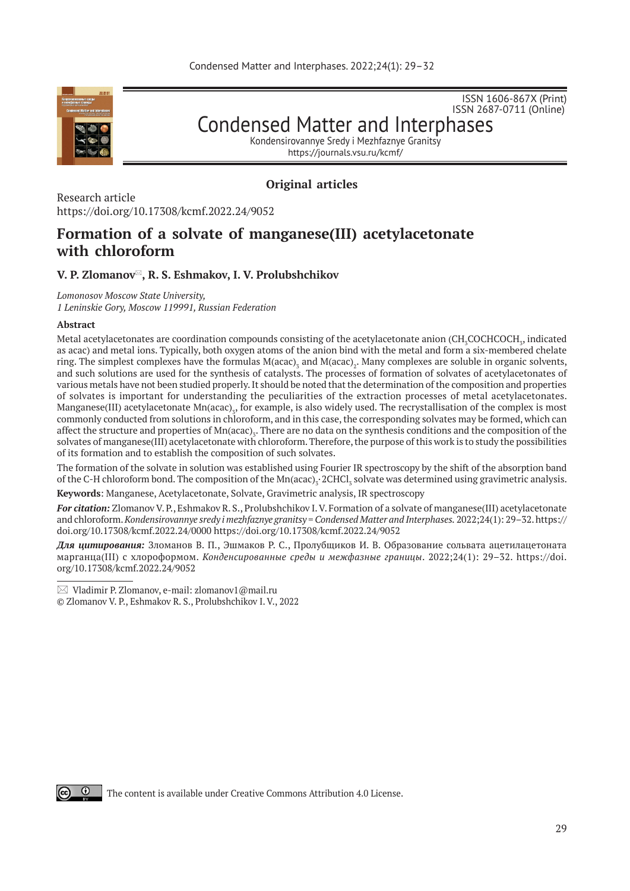

ISSN 1606-867Х (Print) ISSN 2687-0711 (Online)

Condensed Matter and Interphases

Kondensirovannye Sredy i Mezhfaznye Granitsy https://journals.vsu.ru/kcmf/

# **Original articles**

Research article https://doi.org/10.17308/kcmf.2022.24/9052

# **Formation of a solvate of manganese(III) acetylacetonate with chloroform**

# **V. P. Zlomanov, R. S. Eshmakov, I. V. Prolubshchikov \***

*Lomonosov Moscow State University,* 

*1 Leninskie Gory, Moscow 119991, Russian Federation*

# **Abstract**

Metal acetylacetonates are coordination compounds consisting of the acetylacetonate anion (CH<sub>3</sub>COCHCOCH<sub>3</sub>, indicated as acac) and metal ions. Typically, both oxygen atoms of the anion bind with the metal and form a six-membered chelate ring. The simplest complexes have the formulas M(acac)<sub>3</sub> and M(acac)<sub>2</sub>. Many complexes are soluble in organic solvents, and such solutions are used for the synthesis of catalysts. The processes of formation of solvates of acetylacetonates of various metals have not been studied properly. It should be noted that the determination of the composition and properties of solvates is important for understanding the peculiarities of the extraction processes of metal acetylacetonates. Manganese(III) acetylacetonate Mn(acac)<sub>3</sub>, for example, is also widely used. The recrystallisation of the complex is most commonly conducted from solutions in chloroform, and in this case, the corresponding solvates may be formed, which can affect the structure and properties of  $Mn(acac)_{3}$ . There are no data on the synthesis conditions and the composition of the solvates of manganese(III) acetylacetonate with chloroform. Therefore, the purpose of this work is to study the possibilities of its formation and to establish the composition of such solvates.

The formation of the solvate in solution was established using Fourier IR spectroscopy by the shift of the absorption band of the C-H chloroform bond. The composition of the Mn(acac) $_3$  2CHCl $_3$  solvate was determined using gravimetric analysis.

**Keywords**: Manganese, Acetylacetonate, Solvate, Gravimetric analysis, IR spectroscopy

*For citation:* Zlomanov V. P., Eshmakov R. S., Prolubshchikov I. V. Formation of a solvate of manganese(III) acetylacetonate and chloroform. *Kondensirovannye sredy i mezhfaznye granitsy = Condensed Matter and Interphases.* 2022;24(1): 29–32. https:// doi.org/10.17308/kcmf.2022.24/0000 https://doi.org/10.17308/kcmf.2022.24/9052

*Для цитирования:* Зломанов В. П., Эшмаков Р. С., Пролубщиков И. В. Образование сольвата ацетилацетоната марганца(III) с хлороформом. *Конденсированные среды и межфазные границы*. 2022;24(1): 29–32. https://doi. org/10.17308/kcmf.2022.24/9052



The content is available under Creative Commons Attribution 4.0 License.

 $\boxtimes$  Vladimir P. Zlomanov, e-mail: zlomanov1@mail.ru

<sup>©</sup> Zlomanov V. P., Eshmakov R. S., Prolubshchikov I. V., 2022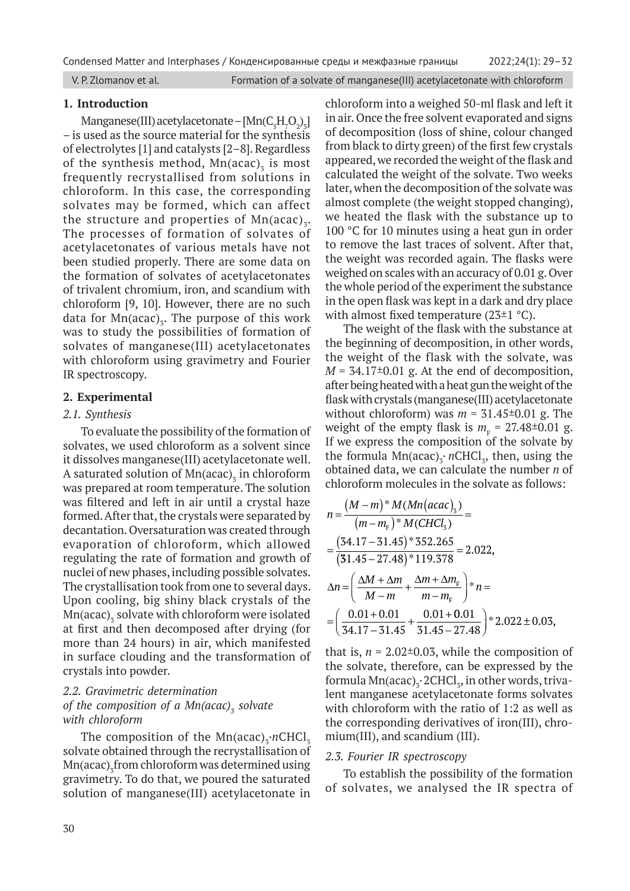Condensed Matter and Interphases / Конденсированные среды и межфазные границы 2022;24(1): 29–32

#### **1. Introduction**

Manganese(III) acetylacetonate – [Mn( $C_5H_7O_2$ )<sub>3</sub>] – is used as the source material for the synthesis of electrolytes [1] and catalysts [2–8]. Regardless of the synthesis method,  $Mn(acac)$ <sub>3</sub> is most frequently recrystallised from solutions in chloroform. In this case, the corresponding solvates may be formed, which can affect the structure and properties of  $Mn(acac)_{\tau}$ . The processes of formation of solvates of acetylacetonates of various metals have not been studied properly. There are some data on the formation of solvates of acetylacetonates of trivalent chromium, iron, and scandium with chloroform [9, 10]. However, there are no such data for  $\text{Mn}(\text{acac})_{3}$ . The purpose of this work was to study the possibilities of formation of solvates of manganese(III) acetylacetonates with chloroform using gravimetry and Fourier IR spectroscopy.

# **2. Experimental**

# *2.1. Synthesis*

To evaluate the possibility of the formation of solvates, we used chloroform as a solvent since it dissolves manganese(III) acetylacetonate well. A saturated solution of  $\mathrm{Mn}(\mathrm{acac})_\mathrm{3}$  in chloroform was prepared at room temperature. The solution was filtered and left in air until a crystal haze formed. After that, the crystals were separated by decantation. Oversaturation was created through evaporation of chloroform, which allowed regulating the rate of formation and growth of nuclei of new phases, including possible solvates. The crystallisation took from one to several days. Upon cooling, big shiny black crystals of the  $\rm Mn (acc)_{\rm 3}$  solvate with chloroform were isolated at first and then decomposed after drying (for more than 24 hours) in air, which manifested in surface clouding and the transformation of crystals into powder.

# *2.2. Gravimetric determination of the composition of a Mn(acac)<sub>3</sub> solvate with chloroform*

The composition of the  $\text{Mn}(\text{acac})_{3}$ ·*n*CHCl<sub>3</sub> solvate obtained through the recrystallisation of  $\rm Mn (acc)_{\rm 3}$ from chloroform was determined using gravimetry. To do that, we poured the saturated solution of manganese(III) acetylacetonate in

chloroform into a weighed 50-ml flask and left it in air. Once the free solvent evaporated and signs of decomposition (loss of shine, colour changed from black to dirty green) of the first few crystals appeared, we recorded the weight of the flask and calculated the weight of the solvate. Two weeks later, when the decomposition of the solvate was almost complete (the weight stopped changing), we heated the flask with the substance up to 100 °C for 10 minutes using a heat gun in order to remove the last traces of solvent. After that, the weight was recorded again. The flasks were weighed on scales with an accuracy of 0.01 g. Over the whole period of the experiment the substance in the open flask was kept in a dark and dry place with almost fixed temperature  $(23\pm1$  °C).

The weight of the flask with the substance at the beginning of decomposition, in other words, the weight of the flask with the solvate, was  $M = 34.17 \pm 0.01$  g. At the end of decomposition, after being heated with a heat gun the weight of the flask with crystals (manganese(III) acetylacetonate without chloroform) was  $m = 31.45 \pm 0.01$  g. The weight of the empty flask is  $m_F = 27.48 \pm 0.01$  g. If we express the composition of the solvate by the formula  $Mn(acac)$ <sub>3</sub>· *n*CHCl<sub>3</sub>, then, using the obtained data, we can calculate the number *n* of chloroform molecules in the solvate as follows:

$$
n = \frac{(M-m)^* M(Mn (acac)_3)}{(m-m_{\rm F})^* M(CHCl_3)} =
$$
  
=  $\frac{(34.17 - 31.45)^* 352.265}{(31.45 - 27.48)^* 119.378} = 2.022,$   

$$
\Delta n = \left(\frac{\Delta M + \Delta m}{M-m} + \frac{\Delta m + \Delta m_{\rm F}}{m-m_{\rm F}}\right)^* n =
$$
  
=  $\left(\frac{0.01 + 0.01}{34.17 - 31.45} + \frac{0.01 + 0.01}{31.45 - 27.48}\right)^* 2.022 \pm 0.03,$ 

that is,  $n = 2.02 \pm 0.03$ , while the composition of the solvate, therefore, can be expressed by the formula  $\text{Mn}(\text{acac})_{3}$ :  $2\text{CHCl}_{3}$ , in other words, trivalent manganese acetylacetonate forms solvates with chloroform with the ratio of 1:2 as well as the corresponding derivatives of iron(III), chromium(III), and scandium (III).

# *2.3. Fourier IR spectroscopy*

To establish the possibility of the formation of solvates, we analysed the IR spectra of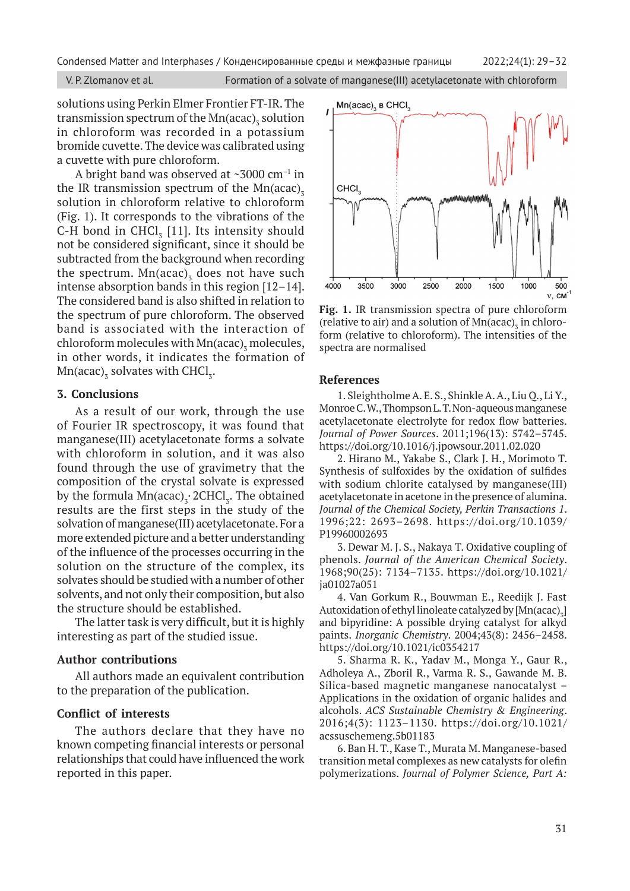V. P. Zlomanov et al. Formation of a solvate of manganese(III) acetylacetonate with chloroform

solutions using Perkin Elmer Frontier FT-IR. The transmission spectrum of the  $\rm Mn (acc)_{3}$  solution in chloroform was recorded in a potassium bromide cuvette. The device was calibrated using a cuvette with pure chloroform.

A bright band was observed at  $\sim$ 3000 cm<sup>-1</sup> in the IR transmission spectrum of the  $Mn(acac)$ , solution in chloroform relative to chloroform (Fig. 1). It corresponds to the vibrations of the C-H bond in  $CHCl_{\frac{1}{3}}$  [11]. Its intensity should not be considered significant, since it should be subtracted from the background when recording the spectrum.  $\text{Mn}(\text{acac})_{\text{3}}$  does not have such intense absorption bands in this region [12–14]. The considered band is also shifted in relation to the spectrum of pure chloroform. The observed band is associated with the interaction of chloroform molecules with  $\text{Mn}(\text{acac})_{\text{3}}$  molecules, in other words, it indicates the formation of  $\text{Mn}(\text{acac})_{3}$  solvates with CHCl<sub>3</sub>.

# **3. Conclusions**

As a result of our work, through the use of Fourier IR spectroscopy, it was found that manganese(III) acetylacetonate forms a solvate with chloroform in solution, and it was also found through the use of gravimetry that the composition of the crystal solvate is expressed by the formula  $Mn(acac)_{3}$  2CHCl<sub>3</sub>. The obtained results are the first steps in the study of the solvation of manganese(III) acetylacetonate. For a more extended picture and a better understanding of the influence of the processes occurring in the solution on the structure of the complex, its solvates should be studied with a number of other solvents, and not only their composition, but also the structure should be established.

The latter task is very difficult, but it is highly interesting as part of the studied issue.

#### **Author contributions**

All authors made an equivalent contribution to the preparation of the publication.

# **Conflict of interests**

The authors declare that they have no known competing financial interests or personal relationships that could have influenced the work reported in this paper.



**Fig. 1.** IR transmission spectra of pure chloroform (relative to air) and a solution of  $Mn(acac)$ <sub>3</sub> in chloroform (relative to chloroform). The intensities of the spectra are normalised

#### **References**

1. Sleightholme A. E. S., Shinkle A. A., Liu Q., Li Y., Monroe C. W., Thompson L. T. Non-aqueous manganese acetylacetonate electrolyte for redox flow batteries. *Journal of Power Sources*. 2011;196(13): 5742–5745. https://doi.org/10.1016/j.jpowsour.2011.02.020

2. Hirano M., Yakabe S., Clark J. H., Morimoto T. Synthesis of sulfoxides by the oxidation of sulfides with sodium chlorite catalysed by manganese(III) acetylacetonate in acetone in the presence of alumina. *Journal of the Chemical Society, Perkin Transactions 1*. 1996;22: 2693–2698. https://doi.org/10.1039/ P19960002693

3. Dewar M. J. S., Nakaya T. Oxidative coupling of phenols. *Journal of the American Chemical Society*. 1968;90(25): 7134–7135. https://doi.org/10.1021/ ja01027a051

4. Van Gorkum R., Bouwman E., Reedijk J. Fast Autoxidation of ethyl linoleate catalyzed by  $[\text{Mn}(\text{acac})_{\textbf{3}}]$ and bipyridine: A possible drying catalyst for alkyd paints. *Inorganic Chemistry*. 2004;43(8): 2456–2458. https://doi.org/10.1021/ic0354217

5. Sharma R. K., Yadav M., Monga Y., Gaur R., Adholeya A., Zboril R., Varma R. S., Gawande M. B. Silica-based magnetic manganese nanocatalyst – Applications in the oxidation of organic halides and alcohols. *ACS Sustainable Chemistry & Engineering*. 2016;4(3): 1123–1130. https://doi.org/10.1021/ acssuschemeng.5b01183

6. Ban H. T., Kase T., Murata M. Manganese-based transition metal complexes as new catalysts for olefin polymerizations. *Journal of Polymer Science, Part A:*